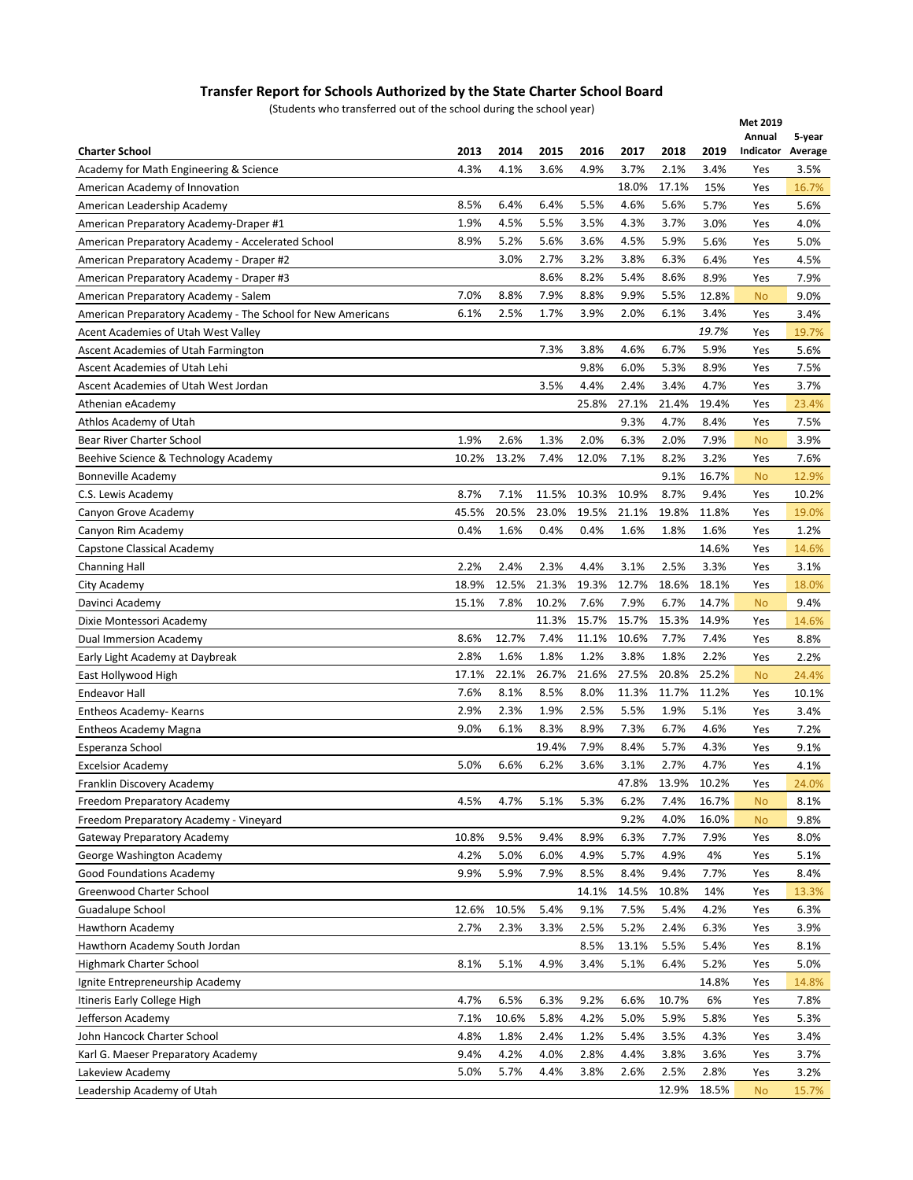## **Transfer Report for Schools Authorized by the State Charter School Board**

(Students who transferred out of the school during the school year)

| who transicrica out or the school daring the school year,   |       |       |       |       |       |       |       | Met 2019   |               |
|-------------------------------------------------------------|-------|-------|-------|-------|-------|-------|-------|------------|---------------|
|                                                             |       |       |       |       |       |       |       | Annual     | 5-year        |
| <b>Charter School</b>                                       | 2013  | 2014  | 2015  | 2016  | 2017  | 2018  | 2019  | Indicator  | Average       |
| Academy for Math Engineering & Science                      | 4.3%  | 4.1%  | 3.6%  | 4.9%  | 3.7%  | 2.1%  | 3.4%  | Yes        | 3.5%          |
| American Academy of Innovation                              |       |       |       |       | 18.0% | 17.1% | 15%   | Yes        | 16.7%         |
| American Leadership Academy                                 | 8.5%  | 6.4%  | 6.4%  | 5.5%  | 4.6%  | 5.6%  | 5.7%  | Yes        | 5.6%          |
| American Preparatory Academy-Draper #1                      | 1.9%  | 4.5%  | 5.5%  | 3.5%  | 4.3%  | 3.7%  | 3.0%  | Yes        | 4.0%          |
| American Preparatory Academy - Accelerated School           | 8.9%  | 5.2%  | 5.6%  | 3.6%  | 4.5%  | 5.9%  | 5.6%  | Yes        | 5.0%          |
| American Preparatory Academy - Draper #2                    |       | 3.0%  | 2.7%  | 3.2%  | 3.8%  | 6.3%  | 6.4%  | Yes        | 4.5%          |
| American Preparatory Academy - Draper #3                    |       |       | 8.6%  | 8.2%  | 5.4%  | 8.6%  | 8.9%  | Yes        | 7.9%          |
| American Preparatory Academy - Salem                        | 7.0%  | 8.8%  | 7.9%  | 8.8%  | 9.9%  | 5.5%  | 12.8% | <b>No</b>  | 9.0%          |
| American Preparatory Academy - The School for New Americans | 6.1%  | 2.5%  | 1.7%  | 3.9%  | 2.0%  | 6.1%  | 3.4%  | Yes        | 3.4%          |
| Acent Academies of Utah West Valley                         |       |       |       |       |       |       | 19.7% | Yes        | 19.7%         |
| Ascent Academies of Utah Farmington                         |       |       | 7.3%  | 3.8%  | 4.6%  | 6.7%  | 5.9%  | Yes        | 5.6%          |
| Ascent Academies of Utah Lehi                               |       |       |       | 9.8%  | 6.0%  | 5.3%  | 8.9%  | Yes        | 7.5%          |
| Ascent Academies of Utah West Jordan                        |       |       | 3.5%  | 4.4%  | 2.4%  | 3.4%  | 4.7%  | Yes        | 3.7%          |
| Athenian eAcademy                                           |       |       |       | 25.8% | 27.1% | 21.4% | 19.4% | Yes        | 23.4%         |
| Athlos Academy of Utah                                      |       |       |       |       | 9.3%  | 4.7%  | 8.4%  | Yes        | 7.5%          |
| Bear River Charter School                                   | 1.9%  | 2.6%  | 1.3%  | 2.0%  | 6.3%  | 2.0%  | 7.9%  | <b>No</b>  | 3.9%          |
| Beehive Science & Technology Academy                        | 10.2% | 13.2% | 7.4%  | 12.0% | 7.1%  | 8.2%  | 3.2%  | Yes        | 7.6%          |
| <b>Bonneville Academy</b>                                   |       |       |       |       |       | 9.1%  | 16.7% | No         | 12.9%         |
| C.S. Lewis Academy                                          | 8.7%  | 7.1%  | 11.5% | 10.3% | 10.9% | 8.7%  | 9.4%  | Yes        | 10.2%         |
| Canyon Grove Academy                                        | 45.5% | 20.5% | 23.0% | 19.5% | 21.1% | 19.8% | 11.8% | Yes        | 19.0%         |
| Canyon Rim Academy                                          | 0.4%  | 1.6%  | 0.4%  | 0.4%  | 1.6%  | 1.8%  | 1.6%  | Yes        | 1.2%          |
| Capstone Classical Academy                                  |       |       |       |       |       |       | 14.6% | Yes        | 14.6%         |
|                                                             | 2.2%  | 2.4%  | 2.3%  | 4.4%  | 3.1%  | 2.5%  | 3.3%  |            | 3.1%          |
| <b>Channing Hall</b>                                        | 18.9% | 12.5% | 21.3% | 19.3% | 12.7% | 18.6% | 18.1% | Yes<br>Yes |               |
| City Academy                                                | 15.1% | 7.8%  | 10.2% | 7.6%  | 7.9%  | 6.7%  | 14.7% |            | 18.0%<br>9.4% |
| Davinci Academy                                             |       |       | 11.3% | 15.7% | 15.7% | 15.3% | 14.9% | No         |               |
| Dixie Montessori Academy                                    | 8.6%  | 12.7% | 7.4%  | 11.1% | 10.6% | 7.7%  | 7.4%  | Yes        | 14.6%         |
| Dual Immersion Academy                                      |       |       |       |       |       |       |       | Yes        | 8.8%          |
| Early Light Academy at Daybreak                             | 2.8%  | 1.6%  | 1.8%  | 1.2%  | 3.8%  | 1.8%  | 2.2%  | Yes        | 2.2%          |
| East Hollywood High                                         | 17.1% | 22.1% | 26.7% | 21.6% | 27.5% | 20.8% | 25.2% | No         | 24.4%         |
| Endeavor Hall                                               | 7.6%  | 8.1%  | 8.5%  | 8.0%  | 11.3% | 11.7% | 11.2% | Yes        | 10.1%         |
| Entheos Academy- Kearns                                     | 2.9%  | 2.3%  | 1.9%  | 2.5%  | 5.5%  | 1.9%  | 5.1%  | Yes        | 3.4%          |
| Entheos Academy Magna                                       | 9.0%  | 6.1%  | 8.3%  | 8.9%  | 7.3%  | 6.7%  | 4.6%  | Yes        | 7.2%          |
| Esperanza School                                            |       |       | 19.4% | 7.9%  | 8.4%  | 5.7%  | 4.3%  | Yes        | 9.1%          |
| <b>Excelsior Academy</b>                                    | 5.0%  | 6.6%  | 6.2%  | 3.6%  | 3.1%  | 2.7%  | 4.7%  | Yes        | 4.1%          |
| Franklin Discovery Academy                                  |       |       |       |       | 47.8% | 13.9% | 10.2% | Yes        | 24.0%         |
| Freedom Preparatory Academy                                 | 4.5%  | 4.7%  | 5.1%  | 5.3%  | 6.2%  | 7.4%  | 16.7% | No         | 8.1%          |
| Freedom Preparatory Academy - Vineyard                      |       |       |       |       | 9.2%  | 4.0%  | 16.0% | No         | 9.8%          |
| Gateway Preparatory Academy                                 | 10.8% | 9.5%  | 9.4%  | 8.9%  | 6.3%  | 7.7%  | 7.9%  | Yes        | 8.0%          |
| George Washington Academy                                   | 4.2%  | 5.0%  | 6.0%  | 4.9%  | 5.7%  | 4.9%  | 4%    | Yes        | 5.1%          |
| <b>Good Foundations Academy</b>                             | 9.9%  | 5.9%  | 7.9%  | 8.5%  | 8.4%  | 9.4%  | 7.7%  | Yes        | 8.4%          |
| Greenwood Charter School                                    |       |       |       | 14.1% | 14.5% | 10.8% | 14%   | Yes        | 13.3%         |
| Guadalupe School                                            | 12.6% | 10.5% | 5.4%  | 9.1%  | 7.5%  | 5.4%  | 4.2%  | Yes        | 6.3%          |
| Hawthorn Academy                                            | 2.7%  | 2.3%  | 3.3%  | 2.5%  | 5.2%  | 2.4%  | 6.3%  | Yes        | 3.9%          |
| Hawthorn Academy South Jordan                               |       |       |       | 8.5%  | 13.1% | 5.5%  | 5.4%  | Yes        | 8.1%          |
| Highmark Charter School                                     | 8.1%  | 5.1%  | 4.9%  | 3.4%  | 5.1%  | 6.4%  | 5.2%  | Yes        | 5.0%          |
| Ignite Entrepreneurship Academy                             |       |       |       |       |       |       | 14.8% | Yes        | 14.8%         |
| Itineris Early College High                                 | 4.7%  | 6.5%  | 6.3%  | 9.2%  | 6.6%  | 10.7% | 6%    | Yes        | 7.8%          |
| Jefferson Academy                                           | 7.1%  | 10.6% | 5.8%  | 4.2%  | 5.0%  | 5.9%  | 5.8%  | Yes        | 5.3%          |
| John Hancock Charter School                                 | 4.8%  | 1.8%  | 2.4%  | 1.2%  | 5.4%  | 3.5%  | 4.3%  | Yes        | 3.4%          |
| Karl G. Maeser Preparatory Academy                          | 9.4%  | 4.2%  | 4.0%  | 2.8%  | 4.4%  | 3.8%  | 3.6%  | Yes        | 3.7%          |
| Lakeview Academy                                            | 5.0%  | 5.7%  | 4.4%  | 3.8%  | 2.6%  | 2.5%  | 2.8%  | Yes        | 3.2%          |
| Leadership Academy of Utah                                  |       |       |       |       |       | 12.9% | 18.5% | <b>No</b>  | 15.7%         |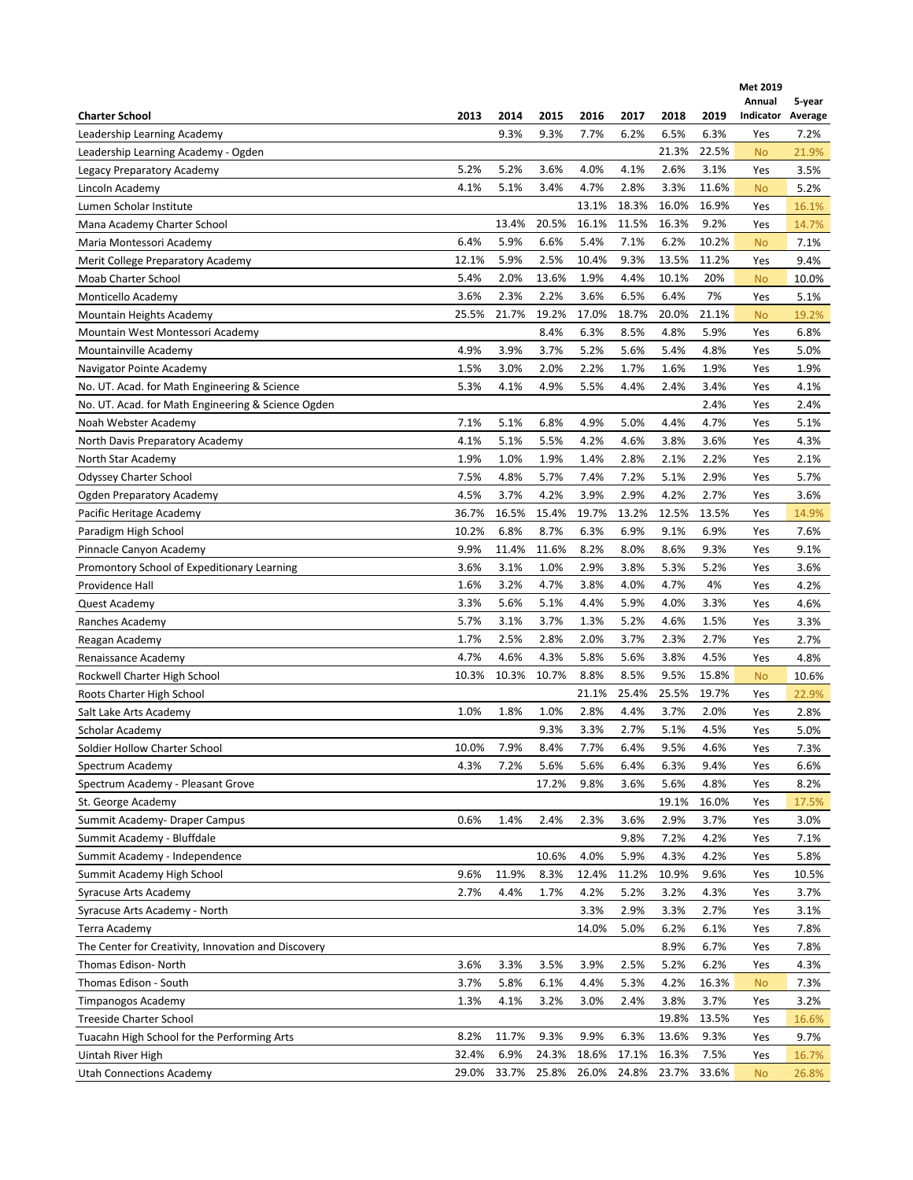|                                                     |       |       |       |       |       |       |       | Met 2019            |                   |
|-----------------------------------------------------|-------|-------|-------|-------|-------|-------|-------|---------------------|-------------------|
| <b>Charter School</b>                               | 2013  | 2014  | 2015  | 2016  | 2017  | 2018  | 2019  | Annual<br>Indicator | 5-year<br>Average |
| Leadership Learning Academy                         |       | 9.3%  | 9.3%  | 7.7%  | 6.2%  | 6.5%  | 6.3%  | Yes                 | 7.2%              |
| Leadership Learning Academy - Ogden                 |       |       |       |       |       | 21.3% | 22.5% | <b>No</b>           | 21.9%             |
| Legacy Preparatory Academy                          | 5.2%  | 5.2%  | 3.6%  | 4.0%  | 4.1%  | 2.6%  | 3.1%  | Yes                 | 3.5%              |
| Lincoln Academy                                     | 4.1%  | 5.1%  | 3.4%  | 4.7%  | 2.8%  | 3.3%  | 11.6% | <b>No</b>           | 5.2%              |
| Lumen Scholar Institute                             |       |       |       | 13.1% | 18.3% | 16.0% | 16.9% | Yes                 | 16.1%             |
| Mana Academy Charter School                         |       | 13.4% | 20.5% | 16.1% | 11.5% | 16.3% | 9.2%  | Yes                 | 14.7%             |
| Maria Montessori Academy                            | 6.4%  | 5.9%  | 6.6%  | 5.4%  | 7.1%  | 6.2%  | 10.2% | <b>No</b>           | 7.1%              |
| Merit College Preparatory Academy                   | 12.1% | 5.9%  | 2.5%  | 10.4% | 9.3%  | 13.5% | 11.2% | Yes                 | 9.4%              |
| Moab Charter School                                 | 5.4%  | 2.0%  | 13.6% | 1.9%  | 4.4%  | 10.1% | 20%   | <b>No</b>           | 10.0%             |
| Monticello Academy                                  | 3.6%  | 2.3%  | 2.2%  | 3.6%  | 6.5%  | 6.4%  | 7%    | Yes                 | 5.1%              |
| Mountain Heights Academy                            | 25.5% | 21.7% | 19.2% | 17.0% | 18.7% | 20.0% | 21.1% | <b>No</b>           | 19.2%             |
| Mountain West Montessori Academy                    |       |       | 8.4%  | 6.3%  | 8.5%  | 4.8%  | 5.9%  | Yes                 | 6.8%              |
| Mountainville Academy                               | 4.9%  | 3.9%  | 3.7%  | 5.2%  | 5.6%  | 5.4%  | 4.8%  | Yes                 | 5.0%              |
|                                                     | 1.5%  | 3.0%  | 2.0%  | 2.2%  | 1.7%  | 1.6%  | 1.9%  | Yes                 | 1.9%              |
| Navigator Pointe Academy                            | 5.3%  | 4.1%  | 4.9%  | 5.5%  | 4.4%  | 2.4%  | 3.4%  |                     |                   |
| No. UT. Acad. for Math Engineering & Science        |       |       |       |       |       |       | 2.4%  | Yes                 | 4.1%              |
| No. UT. Acad. for Math Engineering & Science Ogden  |       |       |       |       |       |       | 4.7%  | Yes                 | 2.4%              |
| Noah Webster Academy                                | 7.1%  | 5.1%  | 6.8%  | 4.9%  | 5.0%  | 4.4%  |       | Yes                 | 5.1%              |
| North Davis Preparatory Academy                     | 4.1%  | 5.1%  | 5.5%  | 4.2%  | 4.6%  | 3.8%  | 3.6%  | Yes                 | 4.3%              |
| North Star Academy                                  | 1.9%  | 1.0%  | 1.9%  | 1.4%  | 2.8%  | 2.1%  | 2.2%  | Yes                 | 2.1%              |
| Odyssey Charter School                              | 7.5%  | 4.8%  | 5.7%  | 7.4%  | 7.2%  | 5.1%  | 2.9%  | Yes                 | 5.7%              |
| Ogden Preparatory Academy                           | 4.5%  | 3.7%  | 4.2%  | 3.9%  | 2.9%  | 4.2%  | 2.7%  | Yes                 | 3.6%              |
| Pacific Heritage Academy                            | 36.7% | 16.5% | 15.4% | 19.7% | 13.2% | 12.5% | 13.5% | Yes                 | 14.9%             |
| Paradigm High School                                | 10.2% | 6.8%  | 8.7%  | 6.3%  | 6.9%  | 9.1%  | 6.9%  | Yes                 | 7.6%              |
| Pinnacle Canyon Academy                             | 9.9%  | 11.4% | 11.6% | 8.2%  | 8.0%  | 8.6%  | 9.3%  | Yes                 | 9.1%              |
| Promontory School of Expeditionary Learning         | 3.6%  | 3.1%  | 1.0%  | 2.9%  | 3.8%  | 5.3%  | 5.2%  | Yes                 | 3.6%              |
| Providence Hall                                     | 1.6%  | 3.2%  | 4.7%  | 3.8%  | 4.0%  | 4.7%  | 4%    | Yes                 | 4.2%              |
| Quest Academy                                       | 3.3%  | 5.6%  | 5.1%  | 4.4%  | 5.9%  | 4.0%  | 3.3%  | Yes                 | 4.6%              |
| Ranches Academy                                     | 5.7%  | 3.1%  | 3.7%  | 1.3%  | 5.2%  | 4.6%  | 1.5%  | Yes                 | 3.3%              |
| Reagan Academy                                      | 1.7%  | 2.5%  | 2.8%  | 2.0%  | 3.7%  | 2.3%  | 2.7%  | Yes                 | 2.7%              |
| Renaissance Academy                                 | 4.7%  | 4.6%  | 4.3%  | 5.8%  | 5.6%  | 3.8%  | 4.5%  | Yes                 | 4.8%              |
| Rockwell Charter High School                        | 10.3% | 10.3% | 10.7% | 8.8%  | 8.5%  | 9.5%  | 15.8% | <b>No</b>           | 10.6%             |
| Roots Charter High School                           |       |       |       | 21.1% | 25.4% | 25.5% | 19.7% | Yes                 | 22.9%             |
| Salt Lake Arts Academy                              | 1.0%  | 1.8%  | 1.0%  | 2.8%  | 4.4%  | 3.7%  | 2.0%  | Yes                 | 2.8%              |
| Scholar Academy                                     |       |       | 9.3%  | 3.3%  | 2.7%  | 5.1%  | 4.5%  | Yes                 | 5.0%              |
| Soldier Hollow Charter School                       | 10.0% | 7.9%  | 8.4%  | 7.7%  | 6.4%  | 9.5%  | 4.6%  | Yes                 | 7.3%              |
| Spectrum Academy                                    | 4.3%  | 7.2%  | 5.6%  | 5.6%  | 6.4%  | 6.3%  | 9.4%  | Yes                 | 6.6%              |
| Spectrum Academy - Pleasant Grove                   |       |       | 17.2% | 9.8%  | 3.6%  | 5.6%  | 4.8%  | Yes                 | 8.2%              |
| St. George Academy                                  |       |       |       |       |       | 19.1% | 16.0% | Yes                 | 17.5%             |
| Summit Academy- Draper Campus                       | 0.6%  | 1.4%  | 2.4%  | 2.3%  | 3.6%  | 2.9%  | 3.7%  | Yes                 | 3.0%              |
| Summit Academy - Bluffdale                          |       |       |       |       | 9.8%  | 7.2%  | 4.2%  | Yes                 | 7.1%              |
| Summit Academy - Independence                       |       |       | 10.6% | 4.0%  | 5.9%  | 4.3%  | 4.2%  | Yes                 | 5.8%              |
| Summit Academy High School                          | 9.6%  | 11.9% | 8.3%  | 12.4% | 11.2% | 10.9% | 9.6%  | Yes                 | 10.5%             |
| Syracuse Arts Academy                               | 2.7%  | 4.4%  | 1.7%  | 4.2%  | 5.2%  | 3.2%  | 4.3%  | Yes                 | 3.7%              |
| Syracuse Arts Academy - North                       |       |       |       | 3.3%  | 2.9%  | 3.3%  | 2.7%  | Yes                 | 3.1%              |
| Terra Academy                                       |       |       |       | 14.0% | 5.0%  | 6.2%  | 6.1%  | Yes                 | 7.8%              |
| The Center for Creativity, Innovation and Discovery |       |       |       |       |       | 8.9%  | 6.7%  | Yes                 | 7.8%              |
| Thomas Edison-North                                 | 3.6%  | 3.3%  | 3.5%  | 3.9%  | 2.5%  | 5.2%  | 6.2%  | Yes                 | 4.3%              |
| Thomas Edison - South                               | 3.7%  | 5.8%  | 6.1%  | 4.4%  | 5.3%  | 4.2%  | 16.3% | <b>No</b>           | 7.3%              |
| Timpanogos Academy                                  | 1.3%  | 4.1%  | 3.2%  | 3.0%  | 2.4%  | 3.8%  | 3.7%  | Yes                 | 3.2%              |
| <b>Treeside Charter School</b>                      |       |       |       |       |       | 19.8% | 13.5% | Yes                 | 16.6%             |
| Tuacahn High School for the Performing Arts         | 8.2%  | 11.7% | 9.3%  | 9.9%  | 6.3%  | 13.6% | 9.3%  | Yes                 | 9.7%              |
| Uintah River High                                   | 32.4% | 6.9%  | 24.3% | 18.6% | 17.1% | 16.3% | 7.5%  | Yes                 | 16.7%             |
| <b>Utah Connections Academy</b>                     | 29.0% | 33.7% | 25.8% | 26.0% | 24.8% | 23.7% | 33.6% | <b>No</b>           | 26.8%             |